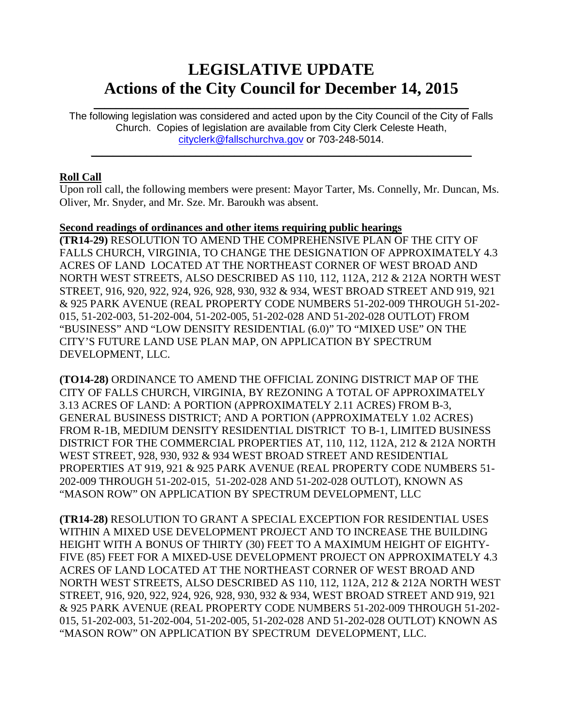# **LEGISLATIVE UPDATE Actions of the City Council for December 14, 2015**

The following legislation was considered and acted upon by the City Council of the City of Falls Church. Copies of legislation are available from City Clerk Celeste Heath, [cityclerk@fallschurchva.gov](mailto:cityclerk@fallschurchva.gov) or 703-248-5014.

 $\mathcal{L}_\text{max}$  and  $\mathcal{L}_\text{max}$  and  $\mathcal{L}_\text{max}$  and  $\mathcal{L}_\text{max}$  and  $\mathcal{L}_\text{max}$  and  $\mathcal{L}_\text{max}$ 

 $\mathcal{L}_\text{max}$  and  $\mathcal{L}_\text{max}$  and  $\mathcal{L}_\text{max}$  and  $\mathcal{L}_\text{max}$  and  $\mathcal{L}_\text{max}$  and  $\mathcal{L}_\text{max}$ 

# **Roll Call**

Upon roll call, the following members were present: Mayor Tarter, Ms. Connelly, Mr. Duncan, Ms. Oliver, Mr. Snyder, and Mr. Sze. Mr. Baroukh was absent.

# **Second readings of ordinances and other items requiring public hearings**

**(TR14-29)** RESOLUTION TO AMEND THE COMPREHENSIVE PLAN OF THE CITY OF FALLS CHURCH, VIRGINIA, TO CHANGE THE DESIGNATION OF APPROXIMATELY 4.3 ACRES OF LAND LOCATED AT THE NORTHEAST CORNER OF WEST BROAD AND NORTH WEST STREETS, ALSO DESCRIBED AS 110, 112, 112A, 212 & 212A NORTH WEST STREET, 916, 920, 922, 924, 926, 928, 930, 932 & 934, WEST BROAD STREET AND 919, 921 & 925 PARK AVENUE (REAL PROPERTY CODE NUMBERS 51-202-009 THROUGH 51-202- 015, 51-202-003, 51-202-004, 51-202-005, 51-202-028 AND 51-202-028 OUTLOT) FROM "BUSINESS" AND "LOW DENSITY RESIDENTIAL (6.0)" TO "MIXED USE" ON THE CITY'S FUTURE LAND USE PLAN MAP, ON APPLICATION BY SPECTRUM DEVELOPMENT, LLC.

**(TO14-28)** ORDINANCE TO AMEND THE OFFICIAL ZONING DISTRICT MAP OF THE CITY OF FALLS CHURCH, VIRGINIA, BY REZONING A TOTAL OF APPROXIMATELY 3.13 ACRES OF LAND: A PORTION (APPROXIMATELY 2.11 ACRES) FROM B-3, GENERAL BUSINESS DISTRICT; AND A PORTION (APPROXIMATELY 1.02 ACRES) FROM R-1B, MEDIUM DENSITY RESIDENTIAL DISTRICT TO B-1, LIMITED BUSINESS DISTRICT FOR THE COMMERCIAL PROPERTIES AT, 110, 112, 112A, 212 & 212A NORTH WEST STREET, 928, 930, 932 & 934 WEST BROAD STREET AND RESIDENTIAL PROPERTIES AT 919, 921 & 925 PARK AVENUE (REAL PROPERTY CODE NUMBERS 51- 202-009 THROUGH 51-202-015, 51-202-028 AND 51-202-028 OUTLOT), KNOWN AS "MASON ROW" ON APPLICATION BY SPECTRUM DEVELOPMENT, LLC

**(TR14-28)** RESOLUTION TO GRANT A SPECIAL EXCEPTION FOR RESIDENTIAL USES WITHIN A MIXED USE DEVELOPMENT PROJECT AND TO INCREASE THE BUILDING HEIGHT WITH A BONUS OF THIRTY (30) FEET TO A MAXIMUM HEIGHT OF EIGHTY-FIVE (85) FEET FOR A MIXED-USE DEVELOPMENT PROJECT ON APPROXIMATELY 4.3 ACRES OF LAND LOCATED AT THE NORTHEAST CORNER OF WEST BROAD AND NORTH WEST STREETS, ALSO DESCRIBED AS 110, 112, 112A, 212 & 212A NORTH WEST STREET, 916, 920, 922, 924, 926, 928, 930, 932 & 934, WEST BROAD STREET AND 919, 921 & 925 PARK AVENUE (REAL PROPERTY CODE NUMBERS 51-202-009 THROUGH 51-202- 015, 51-202-003, 51-202-004, 51-202-005, 51-202-028 AND 51-202-028 OUTLOT) KNOWN AS "MASON ROW" ON APPLICATION BY SPECTRUM DEVELOPMENT, LLC.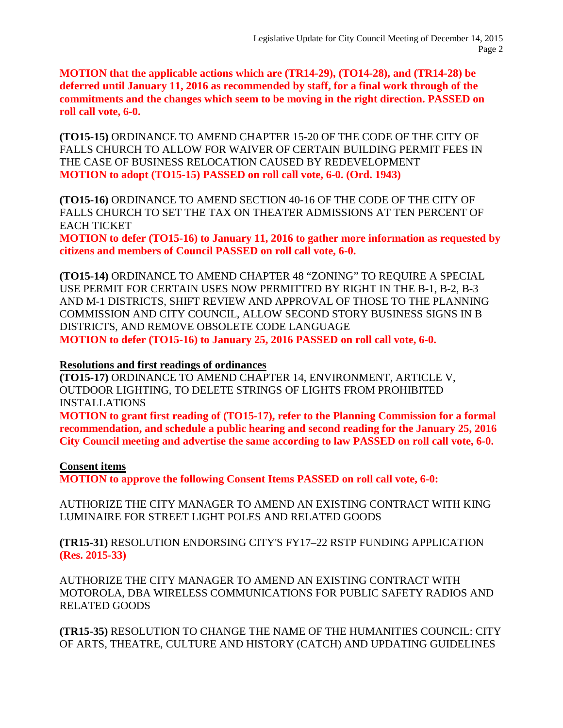**MOTION that the applicable actions which are (TR14-29), (TO14-28), and (TR14-28) be deferred until January 11, 2016 as recommended by staff, for a final work through of the commitments and the changes which seem to be moving in the right direction. PASSED on roll call vote, 6-0.**

**(TO15-15)** ORDINANCE TO AMEND CHAPTER 15-20 OF THE CODE OF THE CITY OF FALLS CHURCH TO ALLOW FOR WAIVER OF CERTAIN BUILDING PERMIT FEES IN THE CASE OF BUSINESS RELOCATION CAUSED BY REDEVELOPMENT **MOTION to adopt (TO15-15) PASSED on roll call vote, 6-0. (Ord. 1943)**

**(TO15-16)** ORDINANCE TO AMEND SECTION 40-16 OF THE CODE OF THE CITY OF FALLS CHURCH TO SET THE TAX ON THEATER ADMISSIONS AT TEN PERCENT OF EACH TICKET

**MOTION to defer (TO15-16) to January 11, 2016 to gather more information as requested by citizens and members of Council PASSED on roll call vote, 6-0.**

**(TO15-14)** ORDINANCE TO AMEND CHAPTER 48 "ZONING" TO REQUIRE A SPECIAL USE PERMIT FOR CERTAIN USES NOW PERMITTED BY RIGHT IN THE B-1, B-2, B-3 AND M-1 DISTRICTS, SHIFT REVIEW AND APPROVAL OF THOSE TO THE PLANNING COMMISSION AND CITY COUNCIL, ALLOW SECOND STORY BUSINESS SIGNS IN B DISTRICTS, AND REMOVE OBSOLETE CODE LANGUAGE **MOTION to defer (TO15-16) to January 25, 2016 PASSED on roll call vote, 6-0.**

#### **Resolutions and first readings of ordinances**

**(TO15-17)** ORDINANCE TO AMEND CHAPTER 14, ENVIRONMENT, ARTICLE V, OUTDOOR LIGHTING, TO DELETE STRINGS OF LIGHTS FROM PROHIBITED INSTALLATIONS

**MOTION to grant first reading of (TO15-17), refer to the Planning Commission for a formal recommendation, and schedule a public hearing and second reading for the January 25, 2016 City Council meeting and advertise the same according to law PASSED on roll call vote, 6-0.** 

#### **Consent items**

**MOTION to approve the following Consent Items PASSED on roll call vote, 6-0:**

AUTHORIZE THE CITY MANAGER TO AMEND AN EXISTING CONTRACT WITH KING LUMINAIRE FOR STREET LIGHT POLES AND RELATED GOODS

**(TR15-31)** RESOLUTION ENDORSING CITY'S FY17–22 RSTP FUNDING APPLICATION **(Res. 2015-33)**

AUTHORIZE THE CITY MANAGER TO AMEND AN EXISTING CONTRACT WITH MOTOROLA, DBA WIRELESS COMMUNICATIONS FOR PUBLIC SAFETY RADIOS AND RELATED GOODS

**(TR15-35)** RESOLUTION TO CHANGE THE NAME OF THE HUMANITIES COUNCIL: CITY OF ARTS, THEATRE, CULTURE AND HISTORY (CATCH) AND UPDATING GUIDELINES